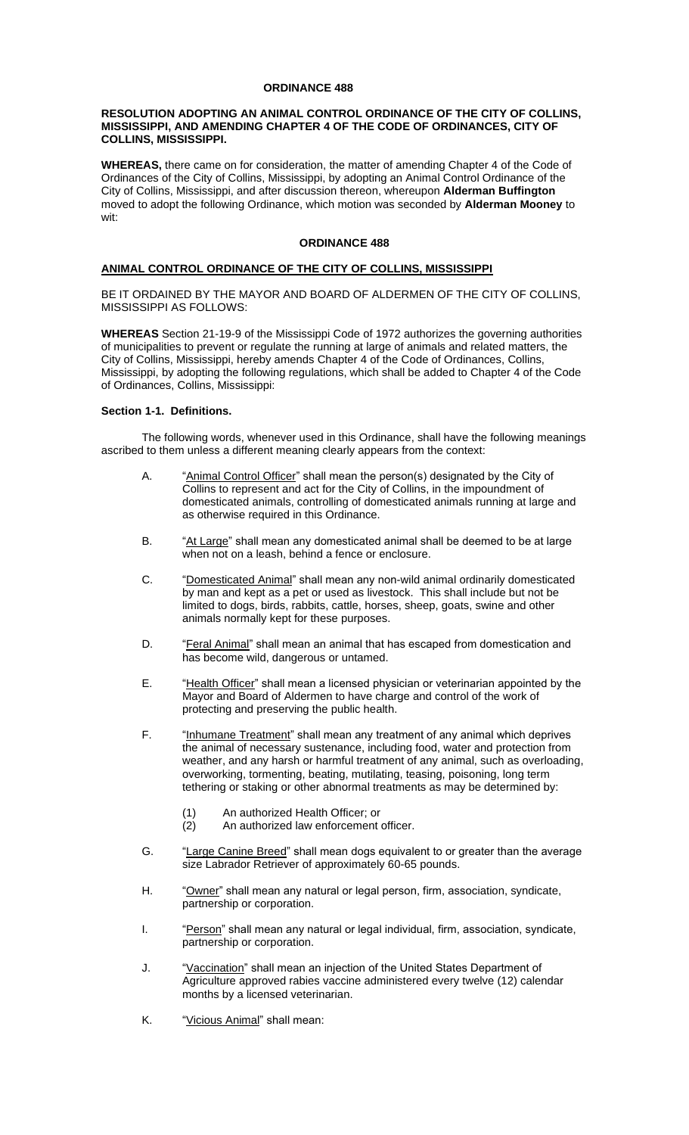#### **ORDINANCE 488**

#### **RESOLUTION ADOPTING AN ANIMAL CONTROL ORDINANCE OF THE CITY OF COLLINS, MISSISSIPPI, AND AMENDING CHAPTER 4 OF THE CODE OF ORDINANCES, CITY OF COLLINS, MISSISSIPPI.**

**WHEREAS,** there came on for consideration, the matter of amending Chapter 4 of the Code of Ordinances of the City of Collins, Mississippi, by adopting an Animal Control Ordinance of the City of Collins, Mississippi, and after discussion thereon, whereupon **Alderman Buffington** moved to adopt the following Ordinance, which motion was seconded by **Alderman Mooney** to wit:

#### **ORDINANCE 488**

#### **ANIMAL CONTROL ORDINANCE OF THE CITY OF COLLINS, MISSISSIPPI**

BE IT ORDAINED BY THE MAYOR AND BOARD OF ALDERMEN OF THE CITY OF COLLINS, MISSISSIPPI AS FOLLOWS:

**WHEREAS** Section 21-19-9 of the Mississippi Code of 1972 authorizes the governing authorities of municipalities to prevent or regulate the running at large of animals and related matters, the City of Collins, Mississippi, hereby amends Chapter 4 of the Code of Ordinances, Collins, Mississippi, by adopting the following regulations, which shall be added to Chapter 4 of the Code of Ordinances, Collins, Mississippi:

#### **Section 1-1. Definitions.**

The following words, whenever used in this Ordinance, shall have the following meanings ascribed to them unless a different meaning clearly appears from the context:

- A. "Animal Control Officer" shall mean the person(s) designated by the City of Collins to represent and act for the City of Collins, in the impoundment of domesticated animals, controlling of domesticated animals running at large and as otherwise required in this Ordinance.
- B. "At Large" shall mean any domesticated animal shall be deemed to be at large when not on a leash, behind a fence or enclosure.
- C. "Domesticated Animal" shall mean any non-wild animal ordinarily domesticated by man and kept as a pet or used as livestock. This shall include but not be limited to dogs, birds, rabbits, cattle, horses, sheep, goats, swine and other animals normally kept for these purposes.
- D. "Feral Animal" shall mean an animal that has escaped from domestication and has become wild, dangerous or untamed.
- E. "Health Officer" shall mean a licensed physician or veterinarian appointed by the Mayor and Board of Aldermen to have charge and control of the work of protecting and preserving the public health.
- F. "Inhumane Treatment" shall mean any treatment of any animal which deprives the animal of necessary sustenance, including food, water and protection from weather, and any harsh or harmful treatment of any animal, such as overloading, overworking, tormenting, beating, mutilating, teasing, poisoning, long term tethering or staking or other abnormal treatments as may be determined by:
	-
	- (1) An authorized Health Officer; or<br>(2) An authorized law enforcement An authorized law enforcement officer.
- G. "Large Canine Breed" shall mean dogs equivalent to or greater than the average size Labrador Retriever of approximately 60-65 pounds.
- H. "Owner" shall mean any natural or legal person, firm, association, syndicate, partnership or corporation.
- I. "Person" shall mean any natural or legal individual, firm, association, syndicate, partnership or corporation.
- J. "Yaccination" shall mean an injection of the United States Department of Agriculture approved rabies vaccine administered every twelve (12) calendar months by a licensed veterinarian.
- K. "Vicious Animal" shall mean: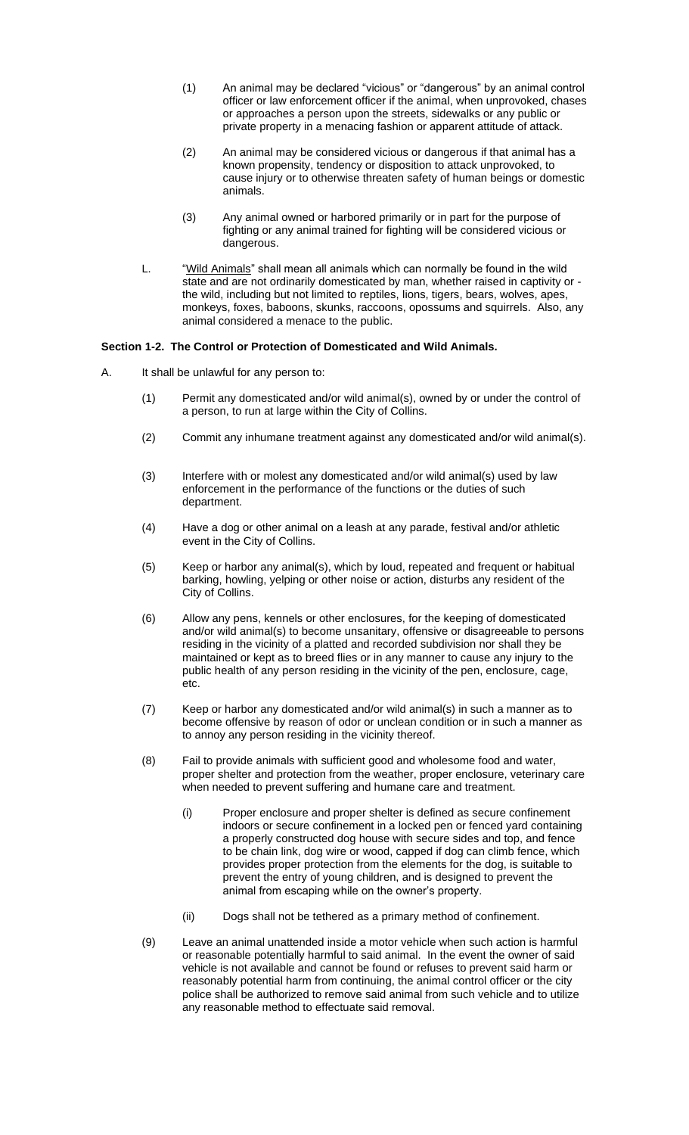- (1) An animal may be declared "vicious" or "dangerous" by an animal control officer or law enforcement officer if the animal, when unprovoked, chases or approaches a person upon the streets, sidewalks or any public or private property in a menacing fashion or apparent attitude of attack.
- (2) An animal may be considered vicious or dangerous if that animal has a known propensity, tendency or disposition to attack unprovoked, to cause injury or to otherwise threaten safety of human beings or domestic animals.
- (3) Any animal owned or harbored primarily or in part for the purpose of fighting or any animal trained for fighting will be considered vicious or dangerous.
- L. "Wild Animals" shall mean all animals which can normally be found in the wild state and are not ordinarily domesticated by man, whether raised in captivity or the wild, including but not limited to reptiles, lions, tigers, bears, wolves, apes, monkeys, foxes, baboons, skunks, raccoons, opossums and squirrels. Also, any animal considered a menace to the public.

#### **Section 1-2. The Control or Protection of Domesticated and Wild Animals.**

- A. It shall be unlawful for any person to:
	- (1) Permit any domesticated and/or wild animal(s), owned by or under the control of a person, to run at large within the City of Collins.
	- (2) Commit any inhumane treatment against any domesticated and/or wild animal(s).
	- (3) Interfere with or molest any domesticated and/or wild animal(s) used by law enforcement in the performance of the functions or the duties of such department.
	- (4) Have a dog or other animal on a leash at any parade, festival and/or athletic event in the City of Collins.
	- (5) Keep or harbor any animal(s), which by loud, repeated and frequent or habitual barking, howling, yelping or other noise or action, disturbs any resident of the City of Collins.
	- (6) Allow any pens, kennels or other enclosures, for the keeping of domesticated and/or wild animal(s) to become unsanitary, offensive or disagreeable to persons residing in the vicinity of a platted and recorded subdivision nor shall they be maintained or kept as to breed flies or in any manner to cause any injury to the public health of any person residing in the vicinity of the pen, enclosure, cage, etc.
	- (7) Keep or harbor any domesticated and/or wild animal(s) in such a manner as to become offensive by reason of odor or unclean condition or in such a manner as to annoy any person residing in the vicinity thereof.
	- (8) Fail to provide animals with sufficient good and wholesome food and water, proper shelter and protection from the weather, proper enclosure, veterinary care when needed to prevent suffering and humane care and treatment.
		- (i) Proper enclosure and proper shelter is defined as secure confinement indoors or secure confinement in a locked pen or fenced yard containing a properly constructed dog house with secure sides and top, and fence to be chain link, dog wire or wood, capped if dog can climb fence, which provides proper protection from the elements for the dog, is suitable to prevent the entry of young children, and is designed to prevent the animal from escaping while on the owner's property.
		- (ii) Dogs shall not be tethered as a primary method of confinement.
	- (9) Leave an animal unattended inside a motor vehicle when such action is harmful or reasonable potentially harmful to said animal. In the event the owner of said vehicle is not available and cannot be found or refuses to prevent said harm or reasonably potential harm from continuing, the animal control officer or the city police shall be authorized to remove said animal from such vehicle and to utilize any reasonable method to effectuate said removal.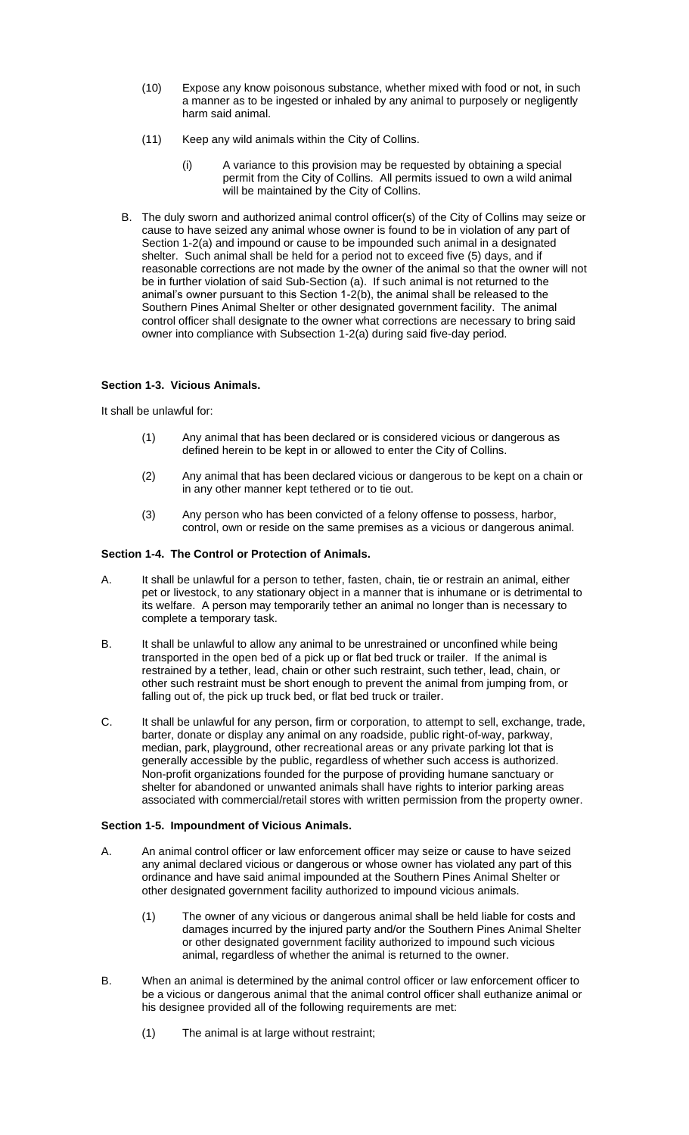- (10) Expose any know poisonous substance, whether mixed with food or not, in such a manner as to be ingested or inhaled by any animal to purposely or negligently harm said animal.
- (11) Keep any wild animals within the City of Collins.
	- (i) A variance to this provision may be requested by obtaining a special permit from the City of Collins. All permits issued to own a wild animal will be maintained by the City of Collins.
- B. The duly sworn and authorized animal control officer(s) of the City of Collins may seize or cause to have seized any animal whose owner is found to be in violation of any part of Section 1-2(a) and impound or cause to be impounded such animal in a designated shelter. Such animal shall be held for a period not to exceed five (5) days, and if reasonable corrections are not made by the owner of the animal so that the owner will not be in further violation of said Sub-Section (a). If such animal is not returned to the animal's owner pursuant to this Section 1-2(b), the animal shall be released to the Southern Pines Animal Shelter or other designated government facility. The animal control officer shall designate to the owner what corrections are necessary to bring said owner into compliance with Subsection 1-2(a) during said five-day period.

# **Section 1-3. Vicious Animals.**

It shall be unlawful for:

- (1) Any animal that has been declared or is considered vicious or dangerous as defined herein to be kept in or allowed to enter the City of Collins.
- (2) Any animal that has been declared vicious or dangerous to be kept on a chain or in any other manner kept tethered or to tie out.
- (3) Any person who has been convicted of a felony offense to possess, harbor, control, own or reside on the same premises as a vicious or dangerous animal.

# **Section 1-4. The Control or Protection of Animals.**

- A. It shall be unlawful for a person to tether, fasten, chain, tie or restrain an animal, either pet or livestock, to any stationary object in a manner that is inhumane or is detrimental to its welfare. A person may temporarily tether an animal no longer than is necessary to complete a temporary task.
- B. It shall be unlawful to allow any animal to be unrestrained or unconfined while being transported in the open bed of a pick up or flat bed truck or trailer. If the animal is restrained by a tether, lead, chain or other such restraint, such tether, lead, chain, or other such restraint must be short enough to prevent the animal from jumping from, or falling out of, the pick up truck bed, or flat bed truck or trailer.
- C. It shall be unlawful for any person, firm or corporation, to attempt to sell, exchange, trade, barter, donate or display any animal on any roadside, public right-of-way, parkway, median, park, playground, other recreational areas or any private parking lot that is generally accessible by the public, regardless of whether such access is authorized. Non-profit organizations founded for the purpose of providing humane sanctuary or shelter for abandoned or unwanted animals shall have rights to interior parking areas associated with commercial/retail stores with written permission from the property owner.

# **Section 1-5. Impoundment of Vicious Animals.**

- A. An animal control officer or law enforcement officer may seize or cause to have seized any animal declared vicious or dangerous or whose owner has violated any part of this ordinance and have said animal impounded at the Southern Pines Animal Shelter or other designated government facility authorized to impound vicious animals.
	- (1) The owner of any vicious or dangerous animal shall be held liable for costs and damages incurred by the injured party and/or the Southern Pines Animal Shelter or other designated government facility authorized to impound such vicious animal, regardless of whether the animal is returned to the owner.
- B. When an animal is determined by the animal control officer or law enforcement officer to be a vicious or dangerous animal that the animal control officer shall euthanize animal or his designee provided all of the following requirements are met:
	- (1) The animal is at large without restraint;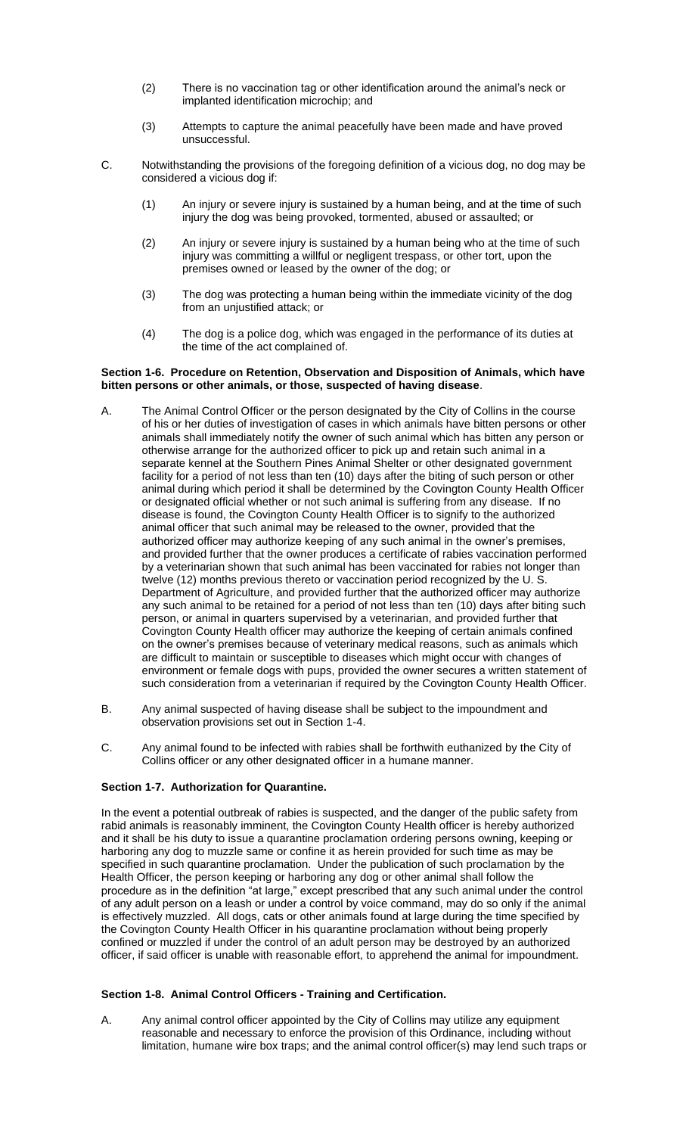- (2) There is no vaccination tag or other identification around the animal's neck or implanted identification microchip; and
- (3) Attempts to capture the animal peacefully have been made and have proved unsuccessful.
- C. Notwithstanding the provisions of the foregoing definition of a vicious dog, no dog may be considered a vicious dog if:
	- (1) An injury or severe injury is sustained by a human being, and at the time of such injury the dog was being provoked, tormented, abused or assaulted; or
	- (2) An injury or severe injury is sustained by a human being who at the time of such injury was committing a willful or negligent trespass, or other tort, upon the premises owned or leased by the owner of the dog; or
	- (3) The dog was protecting a human being within the immediate vicinity of the dog from an unjustified attack; or
	- (4) The dog is a police dog, which was engaged in the performance of its duties at the time of the act complained of.

#### **Section 1-6. Procedure on Retention, Observation and Disposition of Animals, which have bitten persons or other animals, or those, suspected of having disease**.

- A. The Animal Control Officer or the person designated by the City of Collins in the course of his or her duties of investigation of cases in which animals have bitten persons or other animals shall immediately notify the owner of such animal which has bitten any person or otherwise arrange for the authorized officer to pick up and retain such animal in a separate kennel at the Southern Pines Animal Shelter or other designated government facility for a period of not less than ten (10) days after the biting of such person or other animal during which period it shall be determined by the Covington County Health Officer or designated official whether or not such animal is suffering from any disease. If no disease is found, the Covington County Health Officer is to signify to the authorized animal officer that such animal may be released to the owner, provided that the authorized officer may authorize keeping of any such animal in the owner's premises, and provided further that the owner produces a certificate of rabies vaccination performed by a veterinarian shown that such animal has been vaccinated for rabies not longer than twelve (12) months previous thereto or vaccination period recognized by the U. S. Department of Agriculture, and provided further that the authorized officer may authorize any such animal to be retained for a period of not less than ten (10) days after biting such person, or animal in quarters supervised by a veterinarian, and provided further that Covington County Health officer may authorize the keeping of certain animals confined on the owner's premises because of veterinary medical reasons, such as animals which are difficult to maintain or susceptible to diseases which might occur with changes of environment or female dogs with pups, provided the owner secures a written statement of such consideration from a veterinarian if required by the Covington County Health Officer.
- B. Any animal suspected of having disease shall be subject to the impoundment and observation provisions set out in Section 1-4.
- C. Any animal found to be infected with rabies shall be forthwith euthanized by the City of Collins officer or any other designated officer in a humane manner.

### **Section 1-7. Authorization for Quarantine.**

In the event a potential outbreak of rabies is suspected, and the danger of the public safety from rabid animals is reasonably imminent, the Covington County Health officer is hereby authorized and it shall be his duty to issue a quarantine proclamation ordering persons owning, keeping or harboring any dog to muzzle same or confine it as herein provided for such time as may be specified in such quarantine proclamation. Under the publication of such proclamation by the Health Officer, the person keeping or harboring any dog or other animal shall follow the procedure as in the definition "at large," except prescribed that any such animal under the control of any adult person on a leash or under a control by voice command, may do so only if the animal is effectively muzzled. All dogs, cats or other animals found at large during the time specified by the Covington County Health Officer in his quarantine proclamation without being properly confined or muzzled if under the control of an adult person may be destroyed by an authorized officer, if said officer is unable with reasonable effort, to apprehend the animal for impoundment.

### **Section 1-8. Animal Control Officers - Training and Certification.**

A. Any animal control officer appointed by the City of Collins may utilize any equipment reasonable and necessary to enforce the provision of this Ordinance, including without limitation, humane wire box traps; and the animal control officer(s) may lend such traps or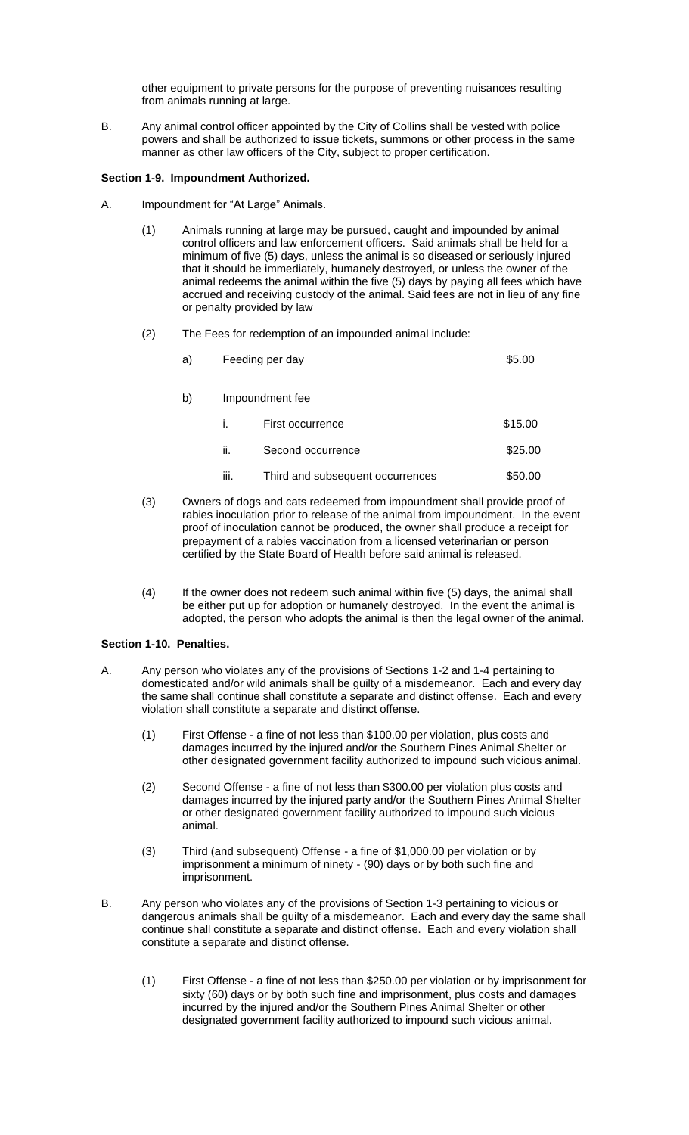other equipment to private persons for the purpose of preventing nuisances resulting from animals running at large.

B. Any animal control officer appointed by the City of Collins shall be vested with police powers and shall be authorized to issue tickets, summons or other process in the same manner as other law officers of the City, subject to proper certification.

### **Section 1-9. Impoundment Authorized.**

- A. Impoundment for "At Large" Animals.
	- (1) Animals running at large may be pursued, caught and impounded by animal control officers and law enforcement officers. Said animals shall be held for a minimum of five (5) days, unless the animal is so diseased or seriously injured that it should be immediately, humanely destroyed, or unless the owner of the animal redeems the animal within the five (5) days by paying all fees which have accrued and receiving custody of the animal. Said fees are not in lieu of any fine or penalty provided by law
	- (2) The Fees for redemption of an impounded animal include:

| a) | Feeding per day |                                  | \$5.00  |
|----|-----------------|----------------------------------|---------|
| b) | Impoundment fee |                                  |         |
|    | Ĺ.              | First occurrence                 | \$15.00 |
|    | ii.             | Second occurrence                | \$25.00 |
|    | iii.            | Third and subsequent occurrences | \$50.00 |

- (3) Owners of dogs and cats redeemed from impoundment shall provide proof of rabies inoculation prior to release of the animal from impoundment. In the event proof of inoculation cannot be produced, the owner shall produce a receipt for prepayment of a rabies vaccination from a licensed veterinarian or person certified by the State Board of Health before said animal is released.
- (4) If the owner does not redeem such animal within five (5) days, the animal shall be either put up for adoption or humanely destroyed. In the event the animal is adopted, the person who adopts the animal is then the legal owner of the animal.

# **Section 1-10. Penalties.**

- A. Any person who violates any of the provisions of Sections 1-2 and 1-4 pertaining to domesticated and/or wild animals shall be guilty of a misdemeanor. Each and every day the same shall continue shall constitute a separate and distinct offense. Each and every violation shall constitute a separate and distinct offense.
	- (1) First Offense a fine of not less than \$100.00 per violation, plus costs and damages incurred by the injured and/or the Southern Pines Animal Shelter or other designated government facility authorized to impound such vicious animal.
	- (2) Second Offense a fine of not less than \$300.00 per violation plus costs and damages incurred by the injured party and/or the Southern Pines Animal Shelter or other designated government facility authorized to impound such vicious animal.
	- (3) Third (and subsequent) Offense a fine of \$1,000.00 per violation or by imprisonment a minimum of ninety - (90) days or by both such fine and imprisonment.
- B. Any person who violates any of the provisions of Section 1-3 pertaining to vicious or dangerous animals shall be guilty of a misdemeanor. Each and every day the same shall continue shall constitute a separate and distinct offense. Each and every violation shall constitute a separate and distinct offense.
	- (1) First Offense a fine of not less than \$250.00 per violation or by imprisonment for sixty (60) days or by both such fine and imprisonment, plus costs and damages incurred by the injured and/or the Southern Pines Animal Shelter or other designated government facility authorized to impound such vicious animal.